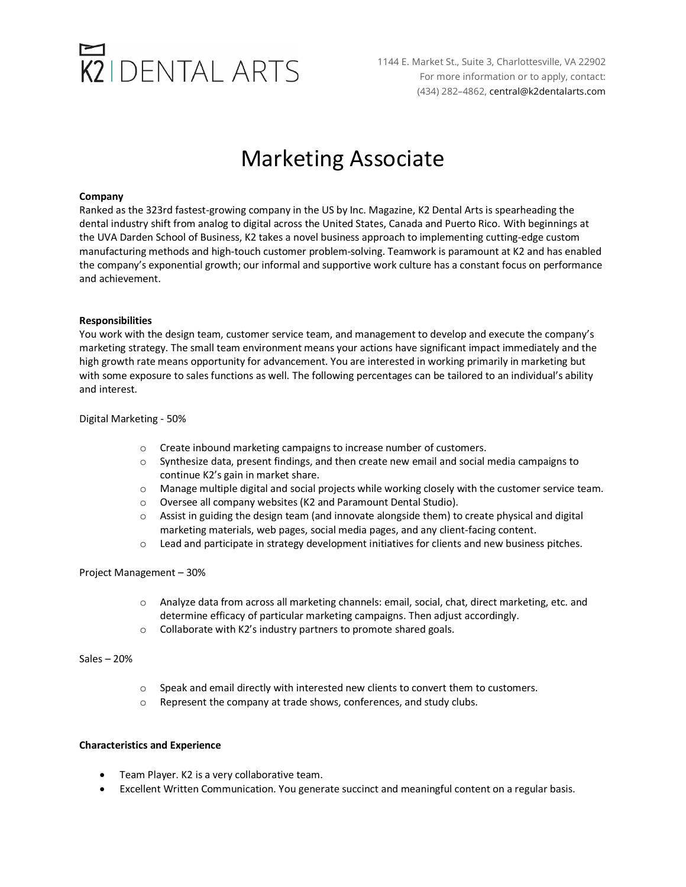# $K2$  DENTAL ARTS

1144 E. Market St., Suite 3, Charlottesville, VA 22902 For more information or to apply, contact: (434) 282–4862, central@k2dentalarts.com

### Marketing Associate

#### **Company**

Ranked as the 323rd fastest-growing company in the US by Inc. Magazine, K2 Dental Arts is spearheading the dental industry shift from analog to digital across the United States, Canada and Puerto Rico. With beginnings at the UVA Darden School of Business, K2 takes a novel business approach to implementing cutting-edge custom manufacturing methods and high-touch customer problem-solving. Teamwork is paramount at K2 and has enabled the company's exponential growth; our informal and supportive work culture has a constant focus on performance and achievement.

#### **Responsibilities**

You work with the design team, customer service team, and management to develop and execute the company's marketing strategy. The small team environment means your actions have significant impact immediately and the high growth rate means opportunity for advancement. You are interested in working primarily in marketing but with some exposure to sales functions as well. The following percentages can be tailored to an individual's ability and interest.

Digital Marketing - 50%

- o Create inbound marketing campaigns to increase number of customers.
- o Synthesize data, present findings, and then create new email and social media campaigns to continue K2's gain in market share.
- o Manage multiple digital and social projects while working closely with the customer service team.
- o Oversee all company websites (K2 and Paramount Dental Studio).
- o Assist in guiding the design team (and innovate alongside them) to create physical and digital marketing materials, web pages, social media pages, and any client-facing content.
- $\circ$  Lead and participate in strategy development initiatives for clients and new business pitches.

#### Project Management – 30%

- o Analyze data from across all marketing channels: email, social, chat, direct marketing, etc. and determine efficacy of particular marketing campaigns. Then adjust accordingly.
- o Collaborate with K2's industry partners to promote shared goals.

#### Sales – 20%

- $\circ$  Speak and email directly with interested new clients to convert them to customers.
- o Represent the company at trade shows, conferences, and study clubs.

#### **Characteristics and Experience**

- Team Player. K2 is a very collaborative team.
- Excellent Written Communication. You generate succinct and meaningful content on a regular basis.